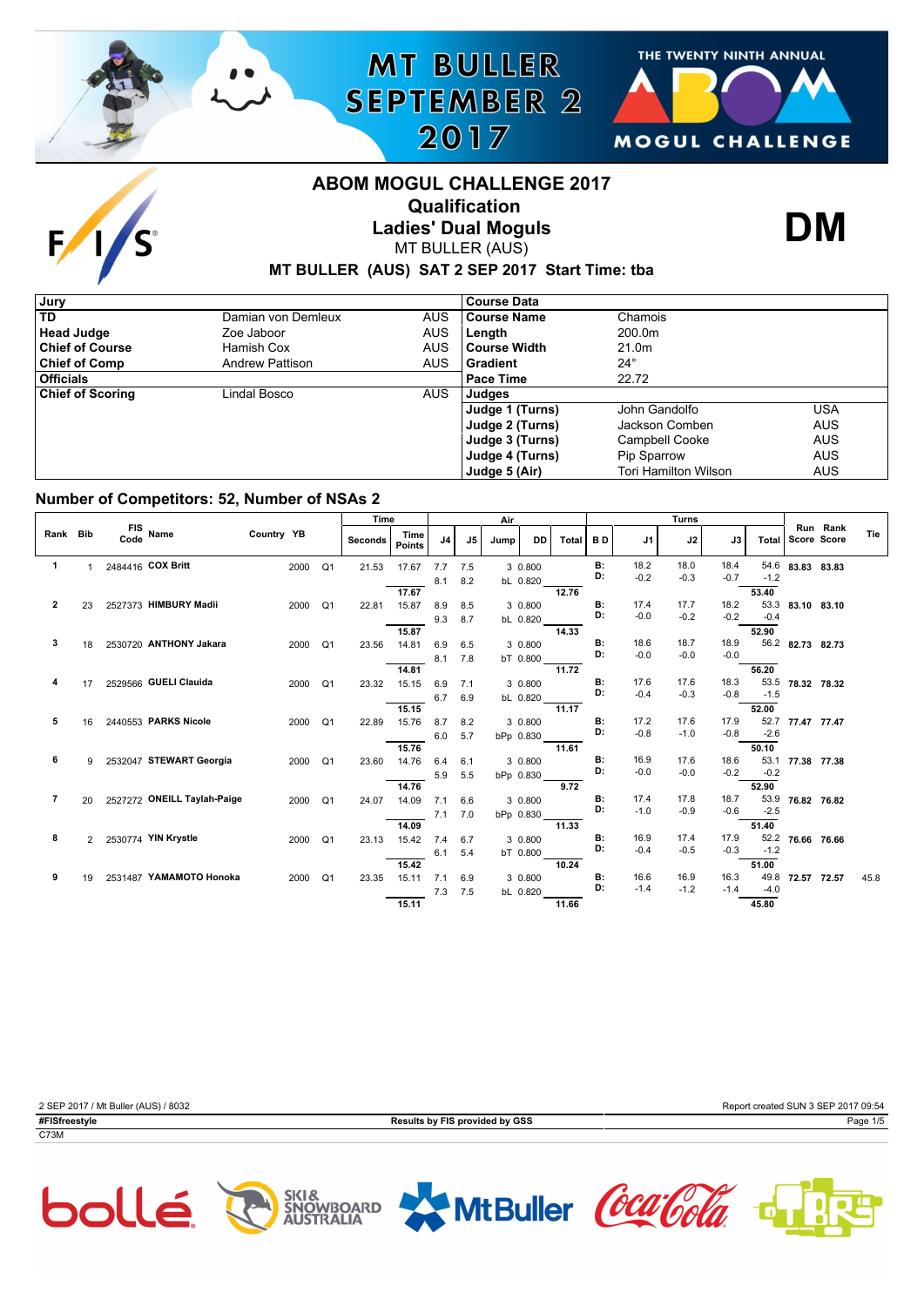

# **MT BULLER SEPTEMBER 2** 2017



# **ABOM MOGUL CHALLENGE 2017 Qualification**



# **Ladies' Dual Moguls**

MT BULLER (AUS)

**DM**

## **MT BULLER (AUS) SAT 2 SEP 2017 Start Time: tba**

| Jury                    |                        |            | <b>Course Data</b> |                             |            |
|-------------------------|------------------------|------------|--------------------|-----------------------------|------------|
| <b>TD</b>               | Damian von Demleux     | <b>AUS</b> | Course Name        | Chamois                     |            |
| <b>Head Judge</b>       | Zoe Jaboor             | <b>AUS</b> | Length             | 200.0m                      |            |
| <b>Chief of Course</b>  | Hamish Cox             | <b>AUS</b> | l Course Width     | 21.0 <sub>m</sub>           |            |
| <b>Chief of Comp</b>    | <b>Andrew Pattison</b> | <b>AUS</b> | l Gradient         | $24^{\circ}$                |            |
| <b>Officials</b>        |                        |            | Pace Time          | 22.72                       |            |
| <b>Chief of Scoring</b> | Lindal Bosco           | <b>AUS</b> | Judges             |                             |            |
|                         |                        |            | Judge 1 (Turns)    | John Gandolfo               | USA        |
|                         |                        |            | Judge 2 (Turns)    | Jackson Comben              | <b>AUS</b> |
|                         |                        |            | Judge 3 (Turns)    | <b>Campbell Cooke</b>       | <b>AUS</b> |
|                         |                        |            | Judge 4 (Turns)    | Pip Sparrow                 | <b>AUS</b> |
|                         |                        |            | Judge 5 (Air)      | <b>Tori Hamilton Wilson</b> | <b>AUS</b> |

### **Number of Competitors: 52, Number of NSAs 2**

|          |    |                                |            |      |                | Time    |                       |     |     | Air  |            |              |           |                | <b>Turns</b>   |                |              |                  |          |      |
|----------|----|--------------------------------|------------|------|----------------|---------|-----------------------|-----|-----|------|------------|--------------|-----------|----------------|----------------|----------------|--------------|------------------|----------|------|
| Rank Bib |    | FIS Name                       | Country YB |      |                | Seconds | Time<br><b>Points</b> | J4  | J5  | Jump | <b>DD</b>  | <b>Total</b> | <b>BD</b> | J1             | J2             | J3             | <b>Total</b> | Score Score      | Run Rank | Tie  |
| 1        |    | 2484416 COX Britt              |            | 2000 | Q1             | 21.53   | 17.67                 | 7.7 | 7.5 |      | 3 0.800    |              | <b>B:</b> | 18.2           | 18.0           | 18.4           |              | 54.6 83.83 83.83 |          |      |
|          |    |                                |            |      |                |         |                       | 8.1 | 8.2 |      | bL 0.820   |              | D:        | $-0.2$         | $-0.3$         | $-0.7$         | $-1.2$       |                  |          |      |
|          |    |                                |            |      |                |         | 17.67                 |     |     |      |            | 12.76        |           |                |                |                | 53.40        |                  |          |      |
| 2        | 23 | 2527373 HIMBURY Madii          |            | 2000 | Q <sub>1</sub> | 22.81   | 15.87                 | 8.9 | 8.5 |      | 3 0.800    |              | <b>B:</b> | 17.4           | 17.7           | 18.2           |              | 53.3 83.10 83.10 |          |      |
|          |    |                                |            |      |                |         |                       | 9.3 | 8.7 |      | bL 0.820   |              | D:        | $-0.0$         | $-0.2$         | $-0.2$         | $-0.4$       |                  |          |      |
|          |    |                                |            |      |                |         | 15.87                 |     |     |      |            | 14.33        |           |                |                |                | 52.90        |                  |          |      |
| 3        | 18 | 2530720 ANTHONY Jakara         |            | 2000 | Q <sub>1</sub> | 23.56   | 14.81                 | 6.9 | 6.5 |      | 3 0.800    |              | <b>B:</b> | 18.6           | 18.7           | 18.9           |              | 56.2 82.73 82.73 |          |      |
|          |    |                                |            |      |                |         |                       | 8.1 | 7.8 |      | bT 0.800   |              | D:        | $-0.0$         | $-0.0$         | $-0.0$         |              |                  |          |      |
|          |    |                                |            |      |                |         | 14.81                 |     |     |      |            | 11.72        |           |                |                |                | 56.20        |                  |          |      |
|          | 17 | 2529566 GUELI Clauida          |            | 2000 | Q1             | 23.32   | 15.15                 | 6.9 | 7.1 |      | 3 0.800    |              | B:<br>D:  | 17.6<br>$-0.4$ | 17.6<br>$-0.3$ | 18.3<br>$-0.8$ | $-1.5$       | 53.5 78.32 78.32 |          |      |
|          |    |                                |            |      |                |         |                       | 6.7 | 6.9 |      | bL 0.820   |              |           |                |                |                |              |                  |          |      |
| 5        |    | 2440553 PARKS Nicole           |            |      |                |         | 15.15                 |     |     |      |            | 11.17        | <b>B:</b> | 17.2           | 17.6           | 17.9           | 52.00        |                  |          |      |
|          | 16 |                                |            | 2000 | Q1             | 22.89   | 15.76                 | 8.7 | 8.2 |      | 3 0.800    |              | D:        | $-0.8$         | $-1.0$         | $-0.8$         | $-2.6$       | 52.7 77.47 77.47 |          |      |
|          |    |                                |            |      |                |         | 15.76                 | 6.0 | 5.7 |      | bPp 0.830  | 11.61        |           |                |                |                | 50.10        |                  |          |      |
| 6        |    | 2532047 STEWART Georgia        |            | 2000 | Q <sub>1</sub> | 23.60   | 14.76                 | 6.4 | 6.1 |      | 3 0.800    |              | <b>B:</b> | 16.9           | 17.6           | 18.6           |              | 53.1 77.38 77.38 |          |      |
|          |    |                                |            |      |                |         |                       | 5.9 | 5.5 |      | bPp 0.830  |              | D:        | $-0.0$         | $-0.0$         | $-0.2$         | $-0.2$       |                  |          |      |
|          |    |                                |            |      |                |         | 14.76                 |     |     |      |            | 9.72         |           |                |                |                | 52.90        |                  |          |      |
| 7        |    | 20 2527272 ONEILL Taylah-Paige |            | 2000 | Q1             | 24.07   | 14.09                 | 7.1 | 6.6 |      | 3 0.800    |              | <b>B:</b> | 17.4           | 17.8           | 18.7           |              | 53.9 76.82 76.82 |          |      |
|          |    |                                |            |      |                |         |                       | 7.1 | 7.0 |      | bPp 0.830_ |              | D:        | $-1.0$         | $-0.9$         | $-0.6$         | $-2.5$       |                  |          |      |
|          |    |                                |            |      |                |         | 14.09                 |     |     |      |            | 11.33        |           |                |                |                | 51.40        |                  |          |      |
| 8        |    | 2 2530774 YIN Krystle          |            | 2000 | Q <sub>1</sub> | 23.13   | 15.42                 | 7.4 | 6.7 |      | 3 0.800    |              | <b>B:</b> | 16.9           | 17.4           | 17.9           |              | 52.2 76.66 76.66 |          |      |
|          |    |                                |            |      |                |         |                       | 6.1 | 5.4 |      | bT 0.800   |              | D:        | $-0.4$         | $-0.5$         | $-0.3$         | $-1.2$       |                  |          |      |
|          |    |                                |            |      |                |         | 15.42                 |     |     |      |            | 10.24        |           |                |                |                | 51.00        |                  |          |      |
| 9        | 19 | 2531487 YAMAMOTO Honoka        |            | 2000 | Q1             | 23.35   | 15.11                 | 7.1 | 6.9 |      | 3 0.800    |              | <b>B:</b> | 16.6           | 16.9           | 16.3           | 49.8         | 72.57 72.57      |          | 45.8 |
|          |    |                                |            |      |                |         |                       | 7.3 | 7.5 |      | bL 0.820   |              | D:        | $-1.4$         | $-1.2$         | $-1.4$         | $-4.0$       |                  |          |      |
|          |    |                                |            |      |                |         | 15.11                 |     |     |      |            | 11.66        |           |                |                |                | 45.80        |                  |          |      |

| 2 SEP 2017 / Mt Buller (AUS) / 8032 |                                | Report created SUN 3 SEP 2017 09:54 |
|-------------------------------------|--------------------------------|-------------------------------------|
| #FISfreestyle                       | Results by FIS provided by GSS | Page 1/5                            |
| C73M                                |                                |                                     |
|                                     |                                |                                     |



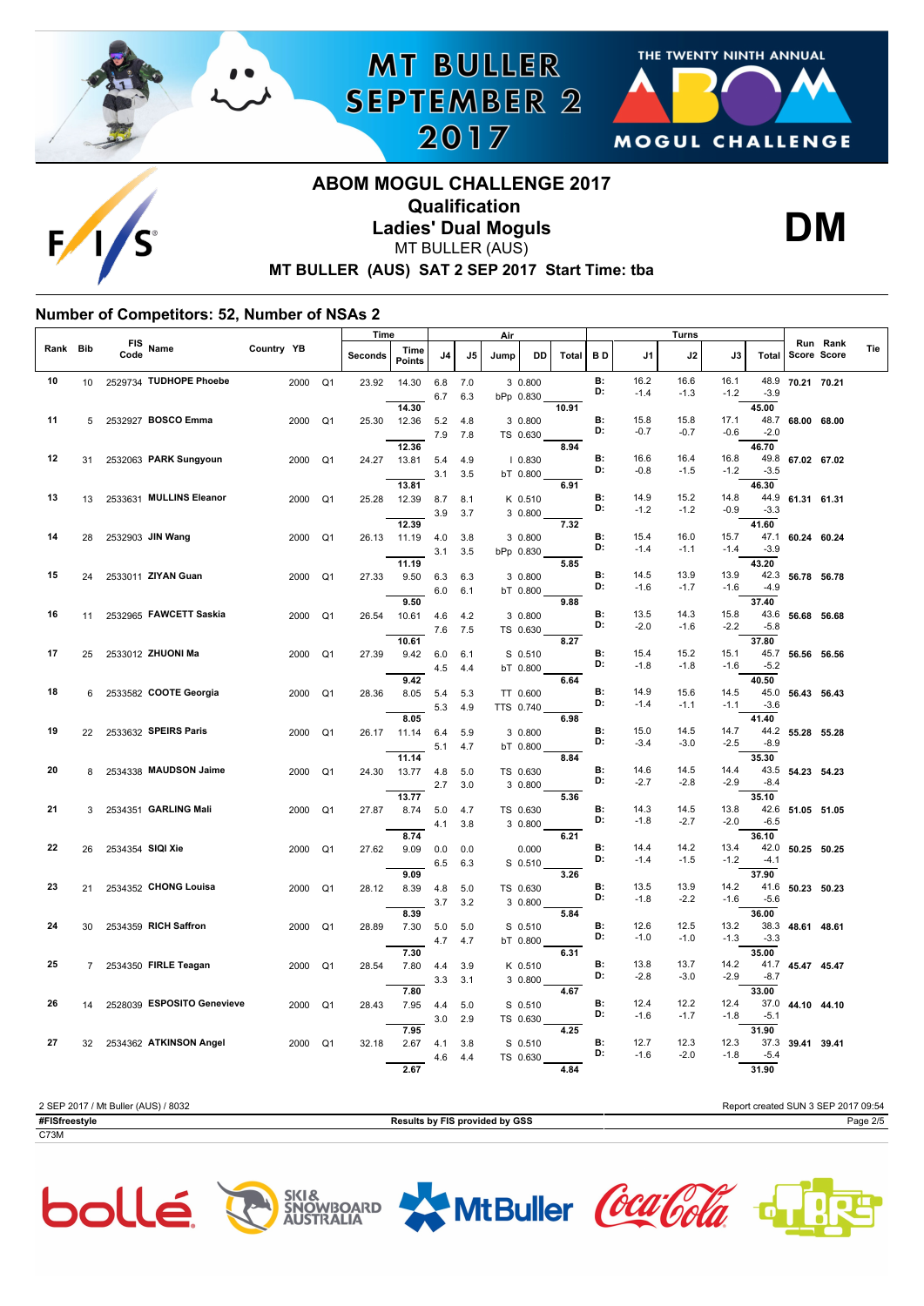





## **MT BULLER (AUS) SAT 2 SEP 2017 Start Time: tba ABOM MOGUL CHALLENGE 2017 Qualification Ladies' Dual Moguls** MT BULLER (AUS)

**MT BULLER** 

**SEPTEMBER 2** 

2017



### **Number of Competitors: 52, Number of NSAs 2**

|          |    |             |                            |            |                | Time    |                       |            |            | Air       |                      |       |                 |                | Turns          |                |                |                  |                                |     |
|----------|----|-------------|----------------------------|------------|----------------|---------|-----------------------|------------|------------|-----------|----------------------|-------|-----------------|----------------|----------------|----------------|----------------|------------------|--------------------------------|-----|
| Rank Bib |    | FIS<br>Code | Name                       | Country YB |                | Seconds | Time<br><b>Points</b> | J4         | J5         | Jump      | DD                   | Total | BD              | J1             | J2             | J3             | Total          |                  | Run Rank<br><b>Score Score</b> | Tie |
| 10       | 10 |             | 2529734 TUDHOPE Phoebe     | 2000       | Q <sub>1</sub> | 23.92   | 14.30                 | 6.8<br>6.7 | 7.0<br>6.3 |           | 3 0.800<br>bPp 0.830 |       | <b>B:</b><br>D: | 16.2<br>$-1.4$ | 16.6<br>$-1.3$ | 16.1<br>$-1.2$ | 48.9<br>$-3.9$ | 70.21 70.21      |                                |     |
|          |    |             |                            |            |                |         | 14.30                 |            |            |           |                      | 10.91 |                 |                |                |                | 45.00          |                  |                                |     |
| 11       | 5  |             | 2532927 BOSCO Emma         | 2000       | Q <sub>1</sub> | 25.30   | 12.36                 | 5.2        | 4.8        |           | 3 0.800              |       | B:              | 15.8           | 15.8           | 17.1           | 48.7           | 68.00 68.00      |                                |     |
|          |    |             |                            |            |                |         |                       | 7.9        | 7.8        |           | TS 0.630             |       | D:              | $-0.7$         | $-0.7$         | $-0.6$         | $-2.0$         |                  |                                |     |
|          |    |             |                            |            |                |         | 12.36                 |            |            |           |                      | 8.94  |                 |                |                |                | 46.70          |                  |                                |     |
| 12       | 31 |             | 2532063 PARK Sungyoun      | 2000       | Q <sub>1</sub> | 24.27   | 13.81                 | 5.4        | 4.9        |           | 10.830               |       | B:              | 16.6           | 16.4           | 16.8           | 49.8           | 67.02 67.02      |                                |     |
|          |    |             |                            |            |                |         |                       | 3.1        | 3.5        |           | bT 0.800             |       | D:              | $-0.8$         | $-1.5$         | $-1.2$         | $-3.5$         |                  |                                |     |
|          |    |             |                            |            |                |         | 13.81                 |            |            |           |                      | 6.91  |                 |                |                |                | 46.30          |                  |                                |     |
| 13       | 13 |             | 2533631 MULLINS Eleanor    | 2000       | Q <sub>1</sub> | 25.28   | 12.39                 | 8.7        | 8.1        |           | K 0.510              |       | <b>B:</b>       | 14.9           | 15.2           | 14.8           | 44.9           | 61.31 61.31      |                                |     |
|          |    |             |                            |            |                |         |                       | 3.9        | 3.7        |           | 3 0.800              |       | D:              | $-1.2$         | $-1.2$         | $-0.9$         | $-3.3$         |                  |                                |     |
|          |    |             |                            |            |                |         | 12.39                 |            |            |           |                      | 7.32  |                 |                |                |                | 41.60          |                  |                                |     |
| 14       | 28 |             | 2532903 JIN Wang           | 2000       | Q <sub>1</sub> | 26.13   | 11.19                 | 4.0        | 3.8        |           | 3 0.800              |       | B:<br>D:        | 15.4           | 16.0           | 15.7           | 47.1           | 60.24 60.24      |                                |     |
|          |    |             |                            |            |                |         |                       | 3.1        | 3.5        |           | bPp 0.830            |       |                 | $-1.4$         | $-1.1$         | $-1.4$         | $-3.9$         |                  |                                |     |
|          |    |             |                            |            |                |         | 11.19                 |            |            |           |                      | 5.85  |                 |                |                |                | 43.20          |                  |                                |     |
| 15       | 24 |             | 2533011 ZIYAN Guan         | 2000       | Q <sub>1</sub> | 27.33   | 9.50                  | 6.3        | 6.3        |           | 3 0.800              |       | <b>B:</b><br>D: | 14.5           | 13.9           | 13.9           | 42.3           | 56.78 56.78      |                                |     |
|          |    |             |                            |            |                |         |                       | 6.0        | 6.1        |           | bT 0.800             |       |                 | $-1.6$         | $-1.7$         | $-1.6$         | $-4.9$         |                  |                                |     |
|          |    |             |                            |            |                |         | 9.50                  |            |            |           |                      | 9.88  |                 |                |                |                | 37.40          |                  |                                |     |
| 16       | 11 |             | 2532965 FAWCETT Saskia     | 2000       | Q1             | 26.54   | 10.61                 | 4.6        | 4.2        |           | 3 0.800              |       | В:<br>D:        | 13.5<br>$-2.0$ | 14.3           | 15.8           |                | 43.6 56.68 56.68 |                                |     |
|          |    |             |                            |            |                |         |                       | 7.6        | 7.5        |           | TS 0.630             |       |                 |                | $-1.6$         | $-2.2$         | $-5.8$         |                  |                                |     |
|          |    |             |                            |            |                |         | 10.61                 |            |            |           |                      | 8.27  |                 |                |                |                | 37.80          |                  |                                |     |
| 17       | 25 |             | 2533012 ZHUONI Ma          | 2000       | Q <sub>1</sub> | 27.39   | 9.42                  | 6.0        | 6.1        |           | S 0.510              |       | <b>B:</b><br>D: | 15.4<br>$-1.8$ | 15.2<br>$-1.8$ | 15.1<br>$-1.6$ | $-5.2$         | 45.7 56.56 56.56 |                                |     |
|          |    |             |                            |            |                |         |                       | 4.5        | 4.4        |           | bT 0.800             |       |                 |                |                |                |                |                  |                                |     |
| 18       |    |             |                            |            |                |         | 9.42                  |            |            |           |                      | 6.64  | <b>B:</b>       | 14.9           | 15.6           | 14.5           | 40.50<br>45.0  |                  |                                |     |
|          | 6  |             | 2533582 COOTE Georgia      | 2000       | Q <sub>1</sub> | 28.36   | 8.05                  | 5.4        | 5.3        |           | TT 0.600             |       | D:              | $-1.4$         | $-1.1$         | $-1.1$         | $-3.6$         | 56.43 56.43      |                                |     |
|          |    |             |                            |            |                |         | 8.05                  | 5.3        | 4.9        | TTS 0.740 |                      | 6.98  |                 |                |                |                | 41.40          |                  |                                |     |
| 19       |    |             | 2533632 SPEIRS Paris       | 2000       | Q <sub>1</sub> |         |                       |            | 5.9        |           |                      |       | В:              | 15.0           | 14.5           | 14.7           | 44.2           | 55.28 55.28      |                                |     |
|          | 22 |             |                            |            |                | 26.17   | 11.14                 | 6.4        |            |           | 3 0.800              |       | D:              | $-3.4$         | $-3.0$         | $-2.5$         | $-8.9$         |                  |                                |     |
|          |    |             |                            |            |                |         | 11.14                 | 5.1        | 4.7        |           | bT 0.800             | 8.84  |                 |                |                |                | 35.30          |                  |                                |     |
| 20       | 8  |             | 2534338 MAUDSON Jaime      | 2000       | Q <sub>1</sub> | 24.30   | 13.77                 | 4.8        | 5.0        |           | TS 0.630             |       | <b>B:</b>       | 14.6           | 14.5           | 14.4           | 43.5           | 54.23 54.23      |                                |     |
|          |    |             |                            |            |                |         |                       | 2.7        | 3.0        |           | 3 0.800              |       | D:              | $-2.7$         | $-2.8$         | $-2.9$         | $-8.4$         |                  |                                |     |
|          |    |             |                            |            |                |         | 13.77                 |            |            |           |                      | 5.36  |                 |                |                |                | 35.10          |                  |                                |     |
| 21       | 3  |             | 2534351 GARLING Mali       | 2000       | Q <sub>1</sub> | 27.87   | 8.74                  | 5.0        | 4.7        |           | TS 0.630             |       | <b>B:</b>       | 14.3           | 14.5           | 13.8           | 42.6           | 51.05 51.05      |                                |     |
|          |    |             |                            |            |                |         |                       | 4.1        | 3.8        |           | 3 0.800              |       | D:              | $-1.8$         | $-2.7$         | $-2.0$         | $-6.5$         |                  |                                |     |
|          |    |             |                            |            |                |         | 8.74                  |            |            |           |                      | 6.21  |                 |                |                |                | 36.10          |                  |                                |     |
| 22       | 26 |             | 2534354 SIQI Xie           | 2000       | Q <sub>1</sub> | 27.62   | 9.09                  | 0.0        | 0.0        |           | 0.000                |       | В:              | 14.4           | 14.2           | 13.4           | 42.0           | 50.25 50.25      |                                |     |
|          |    |             |                            |            |                |         |                       | 6.5        | 6.3        |           | S 0.510              |       | D:              | $-1.4$         | $-1.5$         | $-1.2$         | $-4.1$         |                  |                                |     |
|          |    |             |                            |            |                |         | 9.09                  |            |            |           |                      | 3.26  |                 |                |                |                | 37.90          |                  |                                |     |
| 23       | 21 |             | 2534352 CHONG Louisa       | 2000       | Q <sub>1</sub> | 28.12   | 8.39                  | 4.8        | 5.0        |           | TS 0.630             |       | <b>B:</b>       | 13.5           | 13.9           | 14.2           | 41.6           | 50.23 50.23      |                                |     |
|          |    |             |                            |            |                |         |                       | 3.7        | 3.2        |           | 3 0.800              |       | D:              | $-1.8$         | $-2.2$         | $-1.6$         | $-5.6$         |                  |                                |     |
|          |    |             |                            |            |                |         | 8.39                  |            |            |           |                      | 5.84  |                 |                |                |                | 36.00          |                  |                                |     |
| 24       | 30 |             | 2534359 RICH Saffron       | 2000       | Q <sub>1</sub> | 28.89   | 7.30                  | 5.0        | 5.0        |           | $S$ 0.510            |       | <b>B:</b>       | 12.6           | 12.5           | 13.2           | 38.3           | 48.61 48.61      |                                |     |
|          |    |             |                            |            |                |         |                       | 4.7        | 4.7        |           | bT 0.800             |       | D:              | $-1.0$         | $-1.0$         | $-1.3$         | $-3.3$         |                  |                                |     |
|          |    |             |                            |            |                |         | 7.30                  |            |            |           |                      | 6.31  |                 |                |                |                | 35.00          |                  |                                |     |
| 25       | 7  |             | 2534350 FIRLE Teagan       | 2000       | Q <sub>1</sub> | 28.54   | 7.80                  | 4.4        | 3.9        |           | K 0.510              |       | <b>B:</b>       | 13.8           | 13.7           | 14.2           | 41.7           | 45.47 45.47      |                                |     |
|          |    |             |                            |            |                |         |                       | 3.3        | 3.1        |           | 3 0.800              |       | D:              | $-2.8$         | $-3.0$         | $-2.9$         | $-8.7$         |                  |                                |     |
|          |    |             |                            |            |                |         | 7.80                  |            |            |           |                      | 4.67  |                 |                |                |                | 33.00          |                  |                                |     |
| 26       | 14 |             | 2528039 ESPOSITO Genevieve | 2000       | Q <sub>1</sub> | 28.43   | 7.95                  | 4.4        | 5.0        |           | S 0.510              |       | <b>B:</b><br>D: | 12.4           | 12.2           | 12.4           | 37.0           | 44.10 44.10      |                                |     |
|          |    |             |                            |            |                |         |                       | 3.0        | 2.9        |           | TS 0.630             |       |                 | $-1.6$         | $-1.7$         | $-1.8$         | $-5.1$         |                  |                                |     |
|          |    |             |                            |            |                |         | 7.95                  |            |            |           |                      | 4.25  |                 |                |                |                | 31.90          |                  |                                |     |
| 27       | 32 |             | 2534362 ATKINSON Angel     | 2000       | Q <sub>1</sub> | 32.18   | 2.67                  | 4.1        | 3.8        |           | S 0.510              |       | <b>B:</b><br>D: | 12.7<br>$-1.6$ | 12.3           | 12.3<br>$-1.8$ |                | 37.3 39.41 39.41 |                                |     |
|          |    |             |                            |            |                |         |                       | 4.6        | 4.4        |           | TS 0.630             |       |                 |                | $-2.0$         |                | $-5.4$         |                  |                                |     |
|          |    |             |                            |            |                |         | 2.67                  |            |            |           |                      | 4.84  |                 |                |                |                | 31.90          |                  |                                |     |

2 SEP 2017 / Mt Buller (AUS) / 8032 Report created SUN 3 SEP 2017 09:54 **#FISfreestyle Results by FIS provided by GSS** Page 2/5 C73M









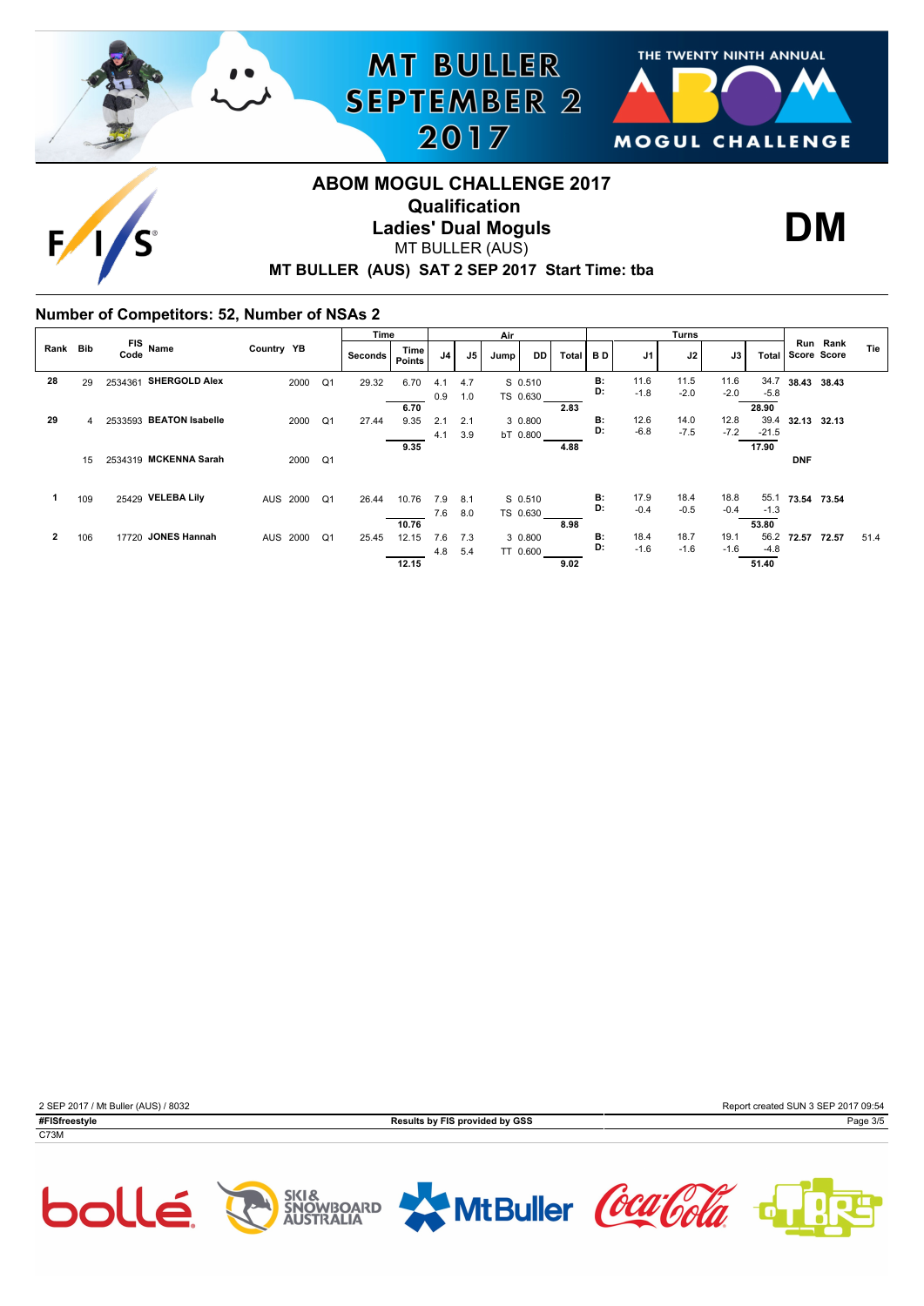



**DM**

# **MT BULLER (AUS) SAT 2 SEP 2017 Start Time: tba ABOM MOGUL CHALLENGE 2017 Qualification Ladies' Dual Moguls** MT BULLER (AUS)

**MT BULLER** 

**SEPTEMBER 2** 

2017

#### **Number of Competitors: 52, Number of NSAs 2**

|          |                |                         |                            | Time    |                |     |               | Air  |          |       |                 |        | Turns  |        |         |             |          |      |
|----------|----------------|-------------------------|----------------------------|---------|----------------|-----|---------------|------|----------|-------|-----------------|--------|--------|--------|---------|-------------|----------|------|
| Rank Bib |                | FIS Name<br>Code        | Country YB                 | Seconds | Time<br>Points | J4  | $\mathsf{J}5$ | Jump | DD.      | Total | BD              | J1     | J2     | J3     | Total   | Score Score | Run Rank | Tie  |
| 28       | 29             | 2534361 SHERGOLD Alex   | Q1<br>2000                 | 29.32   | 6.70           | 4.1 | 4.7           |      | S 0.510  |       | <b>B:</b>       | 11.6   | 11.5   | 11.6   | 34.7    | 38.43 38.43 |          |      |
|          |                |                         |                            |         |                | 0.9 | 1.0           |      | TS 0.630 |       | D:              | $-1.8$ | $-2.0$ | $-2.0$ | $-5.8$  |             |          |      |
|          |                |                         |                            |         | 6.70           |     |               |      |          | 2.83  |                 |        |        |        | 28.90   |             |          |      |
| 29       | $\overline{4}$ | 2533593 BEATON Isabelle | Q1<br>2000                 | 27.44   | 9.35           | 2.1 | 2.1           |      | 3 0.800  |       | <b>B:</b>       | 12.6   | 14.0   | 12.8   | 39.4    | 32.13 32.13 |          |      |
|          |                |                         |                            |         |                | 4.1 | 3.9           |      | bT 0.800 |       | D:              | $-6.8$ | $-7.5$ | $-7.2$ | $-21.5$ |             |          |      |
|          |                |                         |                            |         | 9.35           |     |               |      |          | 4.88  |                 |        |        |        | 17.90   |             |          |      |
|          | 15             | 2534319 MCKENNA Sarah   | Q1<br>2000                 |         |                |     |               |      |          |       |                 |        |        |        |         | <b>DNF</b>  |          |      |
|          |                |                         |                            |         |                |     |               |      |          |       |                 |        |        |        |         |             |          |      |
|          |                | 25429 VELEBA Lily       |                            |         |                |     |               |      |          |       | <b>B:</b>       | 17.9   | 18.4   | 18.8   | 55.1    |             |          |      |
|          | 109            |                         | AUS 2000<br>Q1             | 26.44   | 10.76          | 7.9 | 8.1           |      | S 0.510  |       | D:              | $-0.4$ | $-0.5$ | $-0.4$ | $-1.3$  | 73.54 73.54 |          |      |
|          |                |                         |                            |         |                | 7.6 | 8.0           |      | TS 0.630 |       |                 |        |        |        |         |             |          |      |
|          |                |                         |                            |         | 10.76          |     |               |      |          | 8.98  |                 |        |        |        | 53.80   |             |          |      |
| 2        | 106            | 17720 JONES Hannah      | AUS 2000<br>Q <sub>1</sub> | 25.45   | 12.15          | 7.6 | 7.3           |      | 3 0.800  |       | <b>B:</b><br>D: | 18.4   | 18.7   | 19.1   | 56.2    | 72.57       | 72.57    | 51.4 |
|          |                |                         |                            |         |                | 4.8 | 5.4           |      | TT 0.600 |       |                 | $-1.6$ | $-1.6$ | $-1.6$ | $-4.8$  |             |          |      |
|          |                |                         |                            |         | 12.15          |     |               |      |          | 9.02  |                 |        |        |        | 51.40   |             |          |      |







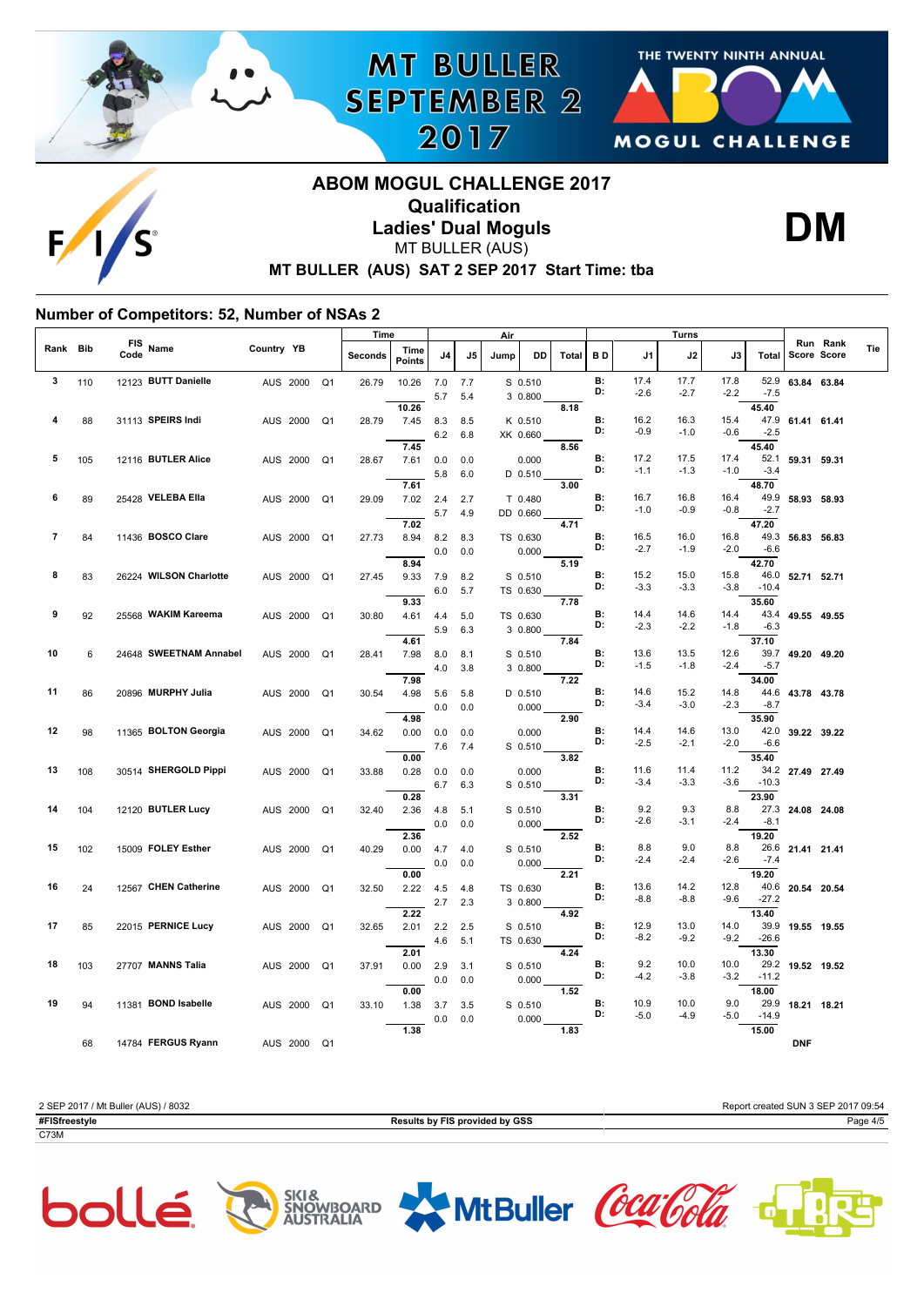





# **ABOM MOGUL CHALLENGE 2017 Qualification Ladies' Dual Moguls** MT BULLER (AUS)

**MT BULLER** 

**SEPTEMBER 2** 

2017



### **MT BULLER (AUS) SAT 2 SEP 2017 Start Time: tba**

#### **Number of Competitors: 52, Number of NSAs 2**

|                |     |                    |                        |            |                            | <u>Time</u> |                       |            |            | Air  |                    |       |                 |                | Turns          |                |                 |                  |                         |     |
|----------------|-----|--------------------|------------------------|------------|----------------------------|-------------|-----------------------|------------|------------|------|--------------------|-------|-----------------|----------------|----------------|----------------|-----------------|------------------|-------------------------|-----|
| Rank           | Bib | <b>FIS</b><br>Code | Name                   | Country YB |                            | Seconds     | Time<br><b>Points</b> | J4         | J5         | Jump | DD                 | Total | B D             | J1             | J2             | J3             | Total           |                  | Run Rank<br>Score Score | Tie |
| 3              | 110 |                    | 12123 BUTT Danielle    |            | AUS 2000<br>Q <sub>1</sub> | 26.79       | 10.26                 | 7.0<br>5.7 | 7.7<br>5.4 |      | S 0.510<br>3 0.800 |       | <b>B:</b><br>D: | 17.4<br>$-2.6$ | 17.7<br>$-2.7$ | 17.8<br>$-2.2$ | 52.9<br>$-7.5$  | 63.84 63.84      |                         |     |
|                |     |                    |                        |            |                            |             | 10.26                 |            |            |      |                    | 8.18  |                 |                |                |                | 45.40           |                  |                         |     |
| 4              | 88  |                    | 31113 SPEIRS Indi      |            | AUS 2000<br>Q <sub>1</sub> | 28.79       | 7.45                  | 8.3        | 8.5        |      | K 0.510            |       | <b>B:</b><br>D: | 16.2           | 16.3           | 15.4           |                 | 47.9 61.41 61.41 |                         |     |
|                |     |                    |                        |            |                            |             | 7.45                  | 6.2        | 6.8        |      | XK 0.660           |       |                 | $-0.9$         | $-1.0$         | $-0.6$         | $-2.5$<br>45.40 |                  |                         |     |
| 5              | 105 |                    | 12116 BUTLER Alice     |            | AUS 2000<br>Q <sub>1</sub> | 28.67       | 7.61                  | 0.0        | 0.0        |      | 0.000              | 8.56  | <b>B:</b>       | 17.2           | 17.5           | 17.4           |                 | 52.1 59.31 59.31 |                         |     |
|                |     |                    |                        |            |                            |             |                       | 5.8        | 6.0        |      | $D$ 0.510          |       | D:              | $-1.1$         | $-1.3$         | $-1.0$         | $-3.4$          |                  |                         |     |
|                |     |                    |                        |            |                            |             | 7.61                  |            |            |      |                    | 3.00  |                 |                |                |                | 48.70           |                  |                         |     |
| 6              | 89  |                    | 25428 VELEBA Ella      |            | Q <sub>1</sub><br>AUS 2000 | 29.09       | 7.02                  | 2.4        | 2.7        |      | T 0.480            |       | <b>B:</b>       | 16.7           | 16.8           | 16.4           | 49.9            | 58.93 58.93      |                         |     |
|                |     |                    |                        |            |                            |             |                       | 5.7        | 4.9        |      | DD 0.660           |       | D:              | $-1.0$         | $-0.9$         | $-0.8$         | $-2.7$          |                  |                         |     |
|                |     |                    |                        |            |                            |             | 7.02                  |            |            |      |                    | 4.71  |                 |                |                |                | 47.20           |                  |                         |     |
| $\overline{7}$ | 84  |                    | 11436 BOSCO Clare      |            | AUS 2000<br>Q <sub>1</sub> | 27.73       | 8.94                  | 8.2        | 8.3        |      | TS 0.630           |       | <b>B:</b><br>D: | 16.5           | 16.0           | 16.8           |                 | 49.3 56.83 56.83 |                         |     |
|                |     |                    |                        |            |                            |             |                       | 0.0        | 0.0        |      | 0.000              |       |                 | $-2.7$         | $-1.9$         | $-2.0$         | $-6.6$          |                  |                         |     |
| 8              |     |                    | 26224 WILSON Charlotte |            |                            |             | 8.94                  |            |            |      |                    | 5.19  | <b>B:</b>       | 15.2           | 15.0           | 15.8           | 42.70           |                  |                         |     |
|                | 83  |                    |                        |            | AUS 2000<br>Q <sub>1</sub> | 27.45       | 9.33                  | 7.9        | 8.2        |      | S 0.510            |       | D:              | $-3.3$         | $-3.3$         | $-3.8$         | $-10.4$         | 46.0 52.71 52.71 |                         |     |
|                |     |                    |                        |            |                            |             | 9.33                  | 6.0        | 5.7        |      | TS 0.630           | 7.78  |                 |                |                |                | 35.60           |                  |                         |     |
| 9              | 92  |                    | 25568 WAKIM Kareema    |            | AUS 2000<br>Q <sub>1</sub> | 30.80       | 4.61                  | 4.4        | 5.0        |      | TS 0.630           |       | <b>B:</b>       | 14.4           | 14.6           | 14.4           |                 | 43.4 49.55 49.55 |                         |     |
|                |     |                    |                        |            |                            |             |                       | 5.9        | 6.3        |      | 3 0.800            |       | D:              | $-2.3$         | $-2.2$         | $-1.8$         | $-6.3$          |                  |                         |     |
|                |     |                    |                        |            |                            |             | 4.61                  |            |            |      |                    | 7.84  |                 |                |                |                | 37.10           |                  |                         |     |
| 10             | 6   |                    | 24648 SWEETNAM Annabel |            | Q <sub>1</sub><br>AUS 2000 | 28.41       | 7.98                  | 8.0        | 8.1        |      | S 0.510            |       | <b>B:</b>       | 13.6           | 13.5           | 12.6           |                 | 39.7 49.20 49.20 |                         |     |
|                |     |                    |                        |            |                            |             |                       | 4.0        | 3.8        |      | 3 0.800            |       | D:              | $-1.5$         | $-1.8$         | $-2.4$         | $-5.7$          |                  |                         |     |
|                |     |                    |                        |            |                            |             | 7.98                  |            |            |      |                    | 7.22  | B:              | 14.6           | 15.2           |                | 34.00<br>44.6   |                  |                         |     |
| 11             | 86  |                    | 20896 MURPHY Julia     |            | AUS 2000<br>Q <sub>1</sub> | 30.54       | 4.98                  | 5.6        | 5.8        |      | D 0.510            |       | D:              | $-3.4$         | $-3.0$         | 14.8<br>$-2.3$ | $-8.7$          | 43.78 43.78      |                         |     |
|                |     |                    |                        |            |                            |             | 4.98                  | 0.0        | 0.0        |      | 0.000              | 2.90  |                 |                |                |                | 35.90           |                  |                         |     |
| 12             | 98  |                    | 11365 BOLTON Georgia   |            | AUS 2000<br>Q <sub>1</sub> | 34.62       | 0.00                  | 0.0        | 0.0        |      | 0.000              |       | <b>B:</b>       | 14.4           | 14.6           | 13.0           | 42.0            | 39.22 39.22      |                         |     |
|                |     |                    |                        |            |                            |             |                       | 7.6        | 7.4        |      | S 0.510            |       | D:              | $-2.5$         | $-2.1$         | $-2.0$         | $-6.6$          |                  |                         |     |
|                |     |                    |                        |            |                            |             | 0.00                  |            |            |      |                    | 3.82  |                 |                |                |                | 35.40           |                  |                         |     |
| 13             | 108 |                    | 30514 SHERGOLD Pippi   |            | AUS 2000<br>Q <sub>1</sub> | 33.88       | 0.28                  | 0.0        | 0.0        |      | 0.000              |       | <b>B:</b>       | 11.6           | 11.4           | 11.2           |                 | 34.2 27.49 27.49 |                         |     |
|                |     |                    |                        |            |                            |             |                       | 6.7        | 6.3        |      | S 0.510            |       | D:              | $-3.4$         | $-3.3$         | $-3.6$         | $-10.3$         |                  |                         |     |
|                |     |                    |                        |            |                            |             | 0.28                  |            |            |      |                    | 3.31  | <b>B:</b>       |                |                |                | 23.90           |                  |                         |     |
| 14             | 104 |                    | 12120 BUTLER Lucy      |            | AUS 2000<br>Q <sub>1</sub> | 32.40       | 2.36                  | 4.8        | 5.1        |      | S 0.510            |       | D:              | 9.2<br>$-2.6$  | 9.3<br>$-3.1$  | 8.8<br>$-2.4$  | 27.3<br>$-8.1$  | 24.08 24.08      |                         |     |
|                |     |                    |                        |            |                            |             | 2.36                  | 0.0        | 0.0        |      | 0.000              | 2.52  |                 |                |                |                | 19.20           |                  |                         |     |
| 15             | 102 |                    | 15009 FOLEY Esther     |            | AUS 2000<br>Q <sub>1</sub> | 40.29       | 0.00                  | 4.7        | 4.0        |      | S 0.510            |       | <b>B:</b>       | 8.8            | 9.0            | 8.8            | 26.6            | 21.41 21.41      |                         |     |
|                |     |                    |                        |            |                            |             |                       | 0.0        | 0.0        |      | 0.000              |       | D:              | $-2.4$         | $-2.4$         | $-2.6$         | $-7.4$          |                  |                         |     |
|                |     |                    |                        |            |                            |             | 0.00                  |            |            |      |                    | 2.21  |                 |                |                |                | 19.20           |                  |                         |     |
| 16             | 24  |                    | 12567 CHEN Catherine   |            | AUS 2000<br>Q <sub>1</sub> | 32.50       | 2.22                  | 4.5        | 4.8        |      | TS 0.630           |       | <b>B:</b><br>D: | 13.6           | 14.2           | 12.8           | 40.6            | 20.54 20.54      |                         |     |
|                |     |                    |                        |            |                            |             |                       | 2.7        | 2.3        |      | 3 0.800            |       |                 | $-8.8$         | $-8.8$         | $-9.6$         | $-27.2$         |                  |                         |     |
| 17             |     |                    | 22015 PERNICE Lucy     |            |                            |             | 2.22                  |            |            |      |                    | 4.92  | <b>B:</b>       | 12.9           | 13.0           | 14.0           | 13.40<br>39.9   |                  |                         |     |
|                | 85  |                    |                        |            | AUS 2000<br>Q <sub>1</sub> | 32.65       | 2.01                  | 2.2        | 2.5        |      | S 0.510            |       | D:              | $-8.2$         | $-9.2$         | $-9.2$         | $-26.6$         | 19.55 19.55      |                         |     |
|                |     |                    |                        |            |                            |             | 2.01                  | 4.6        | 5.1        |      | TS 0.630           | 4.24  |                 |                |                |                | 13.30           |                  |                         |     |
| 18             | 103 |                    | 27707 MANNS Talia      |            | AUS 2000<br>Q <sub>1</sub> | 37.91       | 0.00                  | 2.9        | 3.1        |      | S 0.510            |       | <b>B:</b>       | 9.2            | 10.0           | 10.0           |                 | 29.2 19.52 19.52 |                         |     |
|                |     |                    |                        |            |                            |             |                       | 0.0        | 0.0        |      | 0.000              |       | D:              | $-4.2$         | $-3.8$         | $-3.2$         | $-11.2$         |                  |                         |     |
|                |     |                    |                        |            |                            |             | 0.00                  |            |            |      |                    | 1.52  |                 |                |                |                | 18.00           |                  |                         |     |
| 19             | 94  |                    | 11381 BOND Isabelle    |            | Q <sub>1</sub><br>AUS 2000 | 33.10       | 1.38                  | 3.7        | 3.5        |      | S 0.510            |       | <b>B:</b>       | 10.9           | 10.0           | 9.0            | 29.9            | 18.21 18.21      |                         |     |
|                |     |                    |                        |            |                            |             |                       | 0.0        | 0.0        |      | 0.000              |       | D:              | $-5.0$         | $-4.9$         | $-5.0$         | $-14.9$         |                  |                         |     |
|                |     |                    |                        |            |                            |             | 1.38                  |            |            |      |                    | 1.83  |                 |                |                |                | 15.00           |                  |                         |     |
|                | 68  |                    | 14784 FERGUS Ryann     |            | AUS 2000<br>Q <sub>1</sub> |             |                       |            |            |      |                    |       |                 |                |                |                |                 | <b>DNF</b>       |                         |     |

2 SEP 2017 / Mt Buller (AUS) / 8032 Report created SUN 3 SEP 2017 09:54 **#FISfreestyle Results by FIS provided by GSS** Page 4/5 C73M



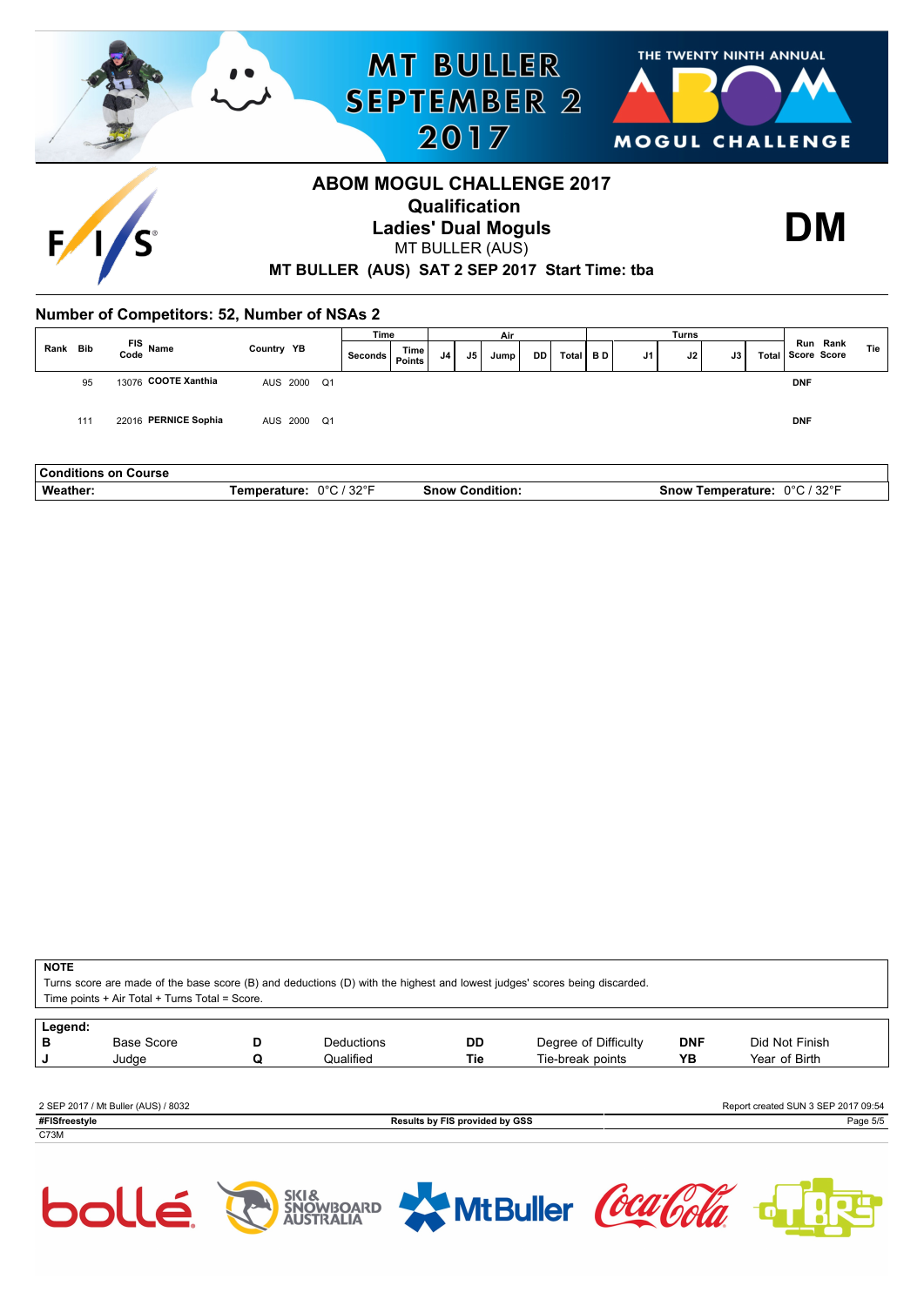

| <b>Conditions</b><br>Course<br>nn |                                          |                         |                                                               |
|-----------------------------------|------------------------------------------|-------------------------|---------------------------------------------------------------|
| <b>Weather</b>                    | 1.2299F<br>∩∘∩<br>-----<br>$\cdots$<br>ັ | <br>Snow⊣<br>`ondition. | 000r<br>000<br>rature<br>snov.<br>em.<br>ומר<br>ےں<br>$\cdot$ |

**NOTE**

Turns score are made of the base score (B) and deductions (D) with the highest and lowest judges' scores being discarded.

Time points + Air Total + Turns Total = Score.

| Legend:       |                                     |   |                   |                                |                      |            |                                     |
|---------------|-------------------------------------|---|-------------------|--------------------------------|----------------------|------------|-------------------------------------|
| в             | <b>Base Score</b>                   | D | <b>Deductions</b> | DD                             | Degree of Difficulty | <b>DNF</b> | Did Not Finish                      |
|               | Judae                               |   | Qualified         | Tie                            | Tie-break points     | YΒ         | Year of Birth                       |
|               |                                     |   |                   |                                |                      |            |                                     |
|               |                                     |   |                   |                                |                      |            |                                     |
|               | 2 SEP 2017 / Mt Buller (AUS) / 8032 |   |                   |                                |                      |            | Report created SUN 3 SEP 2017 09:54 |
| #FISfreestyle |                                     |   |                   | Results by FIS provided by GSS |                      |            | Page 5/5                            |





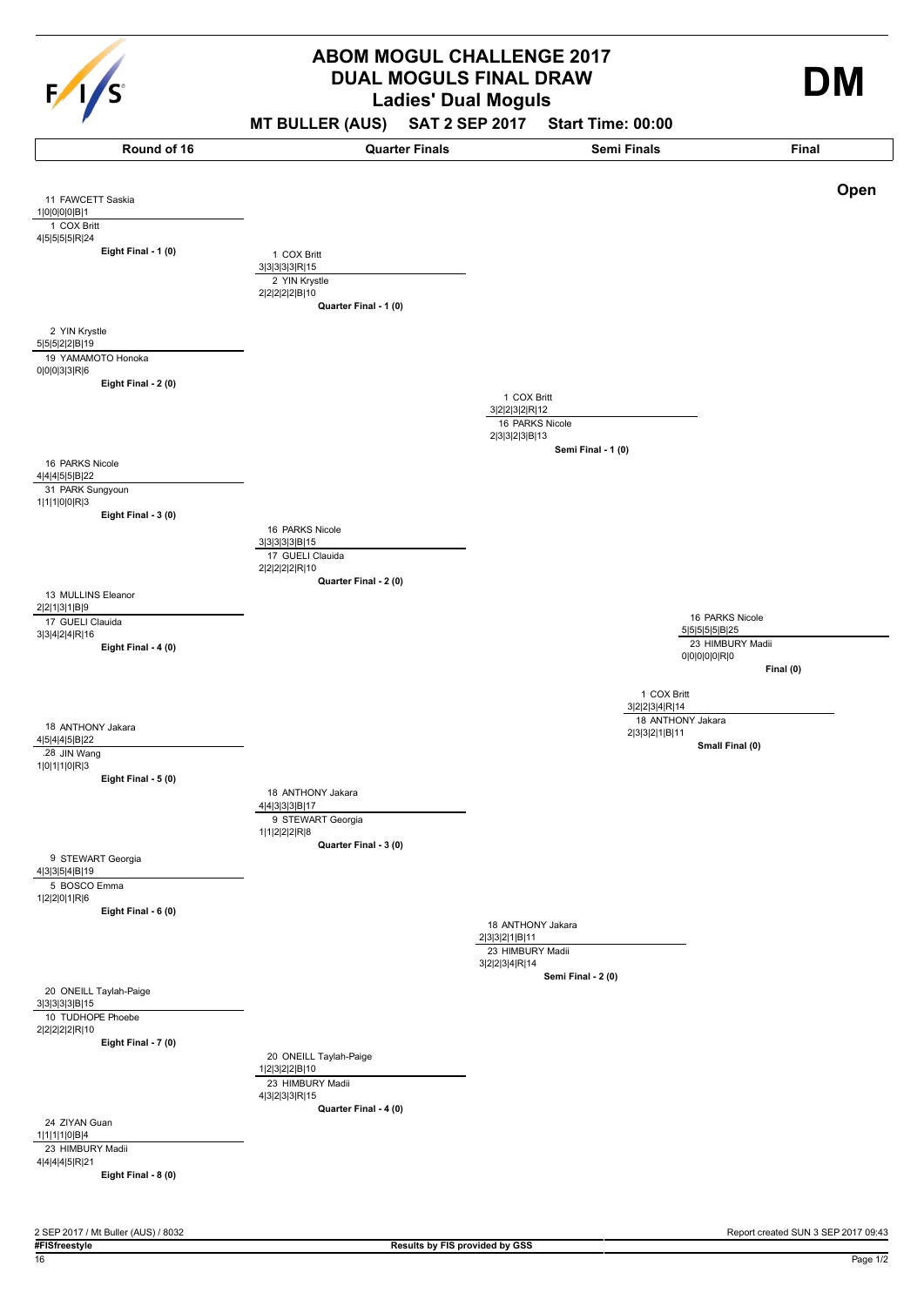

# **Ladies' Dual Moguls ABOM MOGUL CHALLENGE 2017 DUAL MOGULS FINAL DRAW**

# **MT BULLER (AUS) SAT 2 SEP 2017 Start Time: 00:00**

4|4|3|3|3|B|17 **Eight Final - 1 (0)** 11 FAWCETT Saskia 1|0|0|0|0|B|1 1 COX Britt 4|5|5|5|5|R|24 **Eight Final - 2 (0)** 2 YIN Krystle 5|5|5|2|2|B|19 19 YAMAMOTO Honoka 0|0|0|3|3|R|6 **Eight Final - 3 (0)** 16 PARKS Nicole 4|4|4|5|5|B|22 31 PARK Sungyoun 1|1|1|0|0|R|3 **Eight Final - 4 (0)** 13 MULLINS Eleanor 2|2|1|3|1|B|9 17 GUELI Clauida 3|3|4|2|4|R|16 **Eight Final - 5 (0)** 18 ANTHONY Jakara 4|5|4|4|5|B|22 **28** JIN Wang 1|0|1|1|0|R|3 **Eight Final - 6 (0)** 9 STEWART Georgia 4|3|3|5|4|B|19 5 BOSCO Emma 1|2|2|0|1|R|6 **Eight Final - 7 (0)** 20 ONEILL Taylah-Paige 3|3|3|3|3|B|15 10 TUDHOPE Phoebe 2|2|2|2|2|R|10 **Eight Final - 8 (0)** 24 ZIYAN Guan 1|1|1|1|0|B|4 23 HIMBURY Madii 4|4|4|4|5|R|21 **Quarter Final - 1 (0)** 1 COX Britt 3|3|3|3|3|R|15 2 YIN Krystle 2|2|2|2|2|B|10 **Quarter Final - 2 (0)** 16 PARKS Nicole 3|3|3|3|3|B|15 17 GUELI Clauida 2|2|2|2|2|R|10 **Quarter Final - 3 (0)** 18 ANTHONY Jakara 9 STEWART Georgia 1|1|2|2|2|R|8 **Quarter Final - 4 (0)** 20 ONEILL Taylah-Paige 1|2|3|2|2|B|10 23 HIMBURY Madii 4|3|2|3|3|R|15 3|2|2|3|2|R|12 **Semi Final - 1 (0)** 1 COX Britt 16 PARKS Nicole 2|3|3|2|3|B|13 2|3|3|2|1|B|11 **Semi Final - 2 (0)** 18 ANTHONY Jakara 23 HIMBURY Madii 3|2|2|3|4|R|14 5|5|5|5|5|B|25 **Final (0)** 16 PARKS Nicole 23 HIMBURY Madii 0|0|0|0|0|R|0 3|2|2|3|4|R|14 **Small Final (0)** 1 COX Britt 18 ANTHONY Jakara 2|3|3|2|1|B|11 **Round of 16 Quarter Finals Semi Finals Final Open**